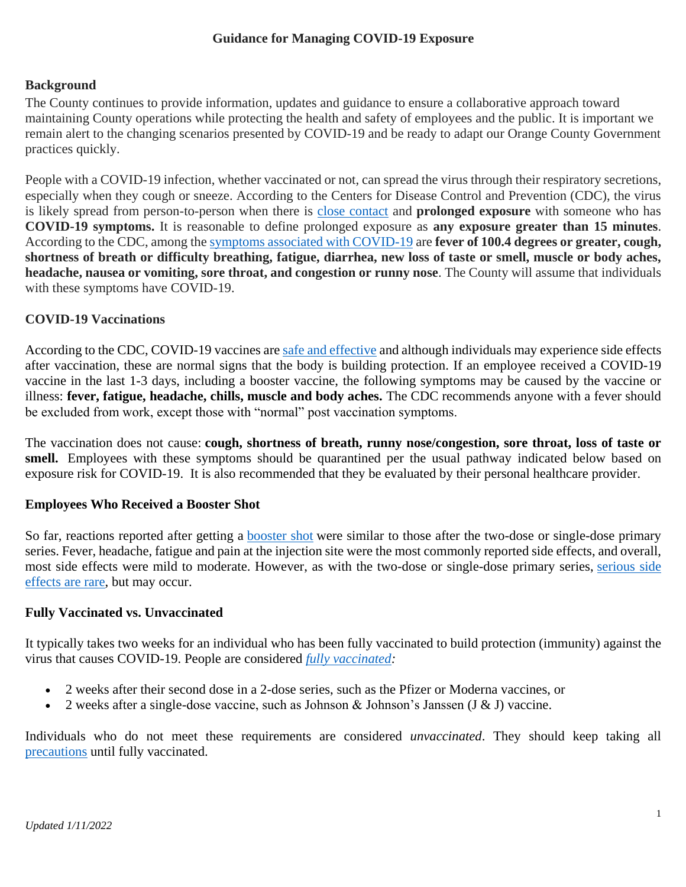#### **Guidance for Managing COVID-19 Exposure**

#### **Background**

The County continues to provide information, updates and guidance to ensure a collaborative approach toward maintaining County operations while protecting the health and safety of employees and the public. It is important we remain alert to the changing scenarios presented by COVID-19 and be ready to adapt our Orange County Government practices quickly.

People with a COVID-19 infection, whether vaccinated or not, can spread the virus through their respiratory secretions, especially when they cough or sneeze. According to the Centers for Disease Control and Prevention (CDC), the virus is likely spread from person-to-person when there is [close contact](https://www.cdc.gov/coronavirus/2019-ncov/php/contact-tracing/contact-tracing-plan/appendix.html#contact) and **prolonged exposure** with someone who has **COVID-19 symptoms.** It is reasonable to define prolonged exposure as **any exposure greater than 15 minutes**. According to the CDC, among the [symptoms associated with COVID-19](https://www.cdc.gov/coronavirus/2019-ncov/symptoms-testing/symptoms.html?CDC_AA_refVal=https%3A%2F%2Fwww.cdc.gov%2Fcoronavirus%2F2019-ncov%2Fabout%2Fsymptoms.html) are **fever of 100.4 degrees or greater, cough, shortness of breath or difficulty breathing, fatigue, diarrhea, new loss of taste or smell, muscle or body aches, headache, nausea or vomiting, sore throat, and congestion or runny nose**. The County will assume that individuals with these symptoms have COVID-19.

#### **COVID-19 Vaccinations**

According to the CDC, COVID-19 vaccines are [safe and effective](https://www.cdc.gov/coronavirus/2019-ncov/vaccines/effectiveness.html) and although individuals may experience side effects after vaccination, these are normal signs that the body is building protection. If an employee received a COVID-19 vaccine in the last 1-3 days, including a booster vaccine, the following symptoms may be caused by the vaccine or illness: **fever, fatigue, headache, chills, muscle and body aches.** The CDC recommends anyone with a fever should be excluded from work, except those with "normal" post vaccination symptoms.

The vaccination does not cause: **cough, shortness of breath, runny nose/congestion, sore throat, loss of taste or smell.** Employees with these symptoms should be quarantined per the usual pathway indicated below based on exposure risk for COVID-19. It is also recommended that they be evaluated by their personal healthcare provider.

#### **Employees Who Received a Booster Shot**

So far, reactions reported after getting a **[booster shot](https://www.cdc.gov/coronavirus/2019-ncov/vaccines/booster-shot.html)** were similar to those after the two-dose or single-dose primary series. Fever, headache, fatigue and pain at the injection site were the most commonly reported side effects, and overall, most side effects were mild to moderate. However, as with the two-dose or single-dose primary series, [serious side](https://www.cdc.gov/coronavirus/2019-ncov/vaccines/safety/safety-of-vaccines.html)  [effects are rare,](https://www.cdc.gov/coronavirus/2019-ncov/vaccines/safety/safety-of-vaccines.html) but may occur.

#### **Fully Vaccinated vs. Unvaccinated**

It typically takes two weeks for an individual who has been fully vaccinated to build protection (immunity) against the virus that causes COVID-19. People are considered *[fully vaccinated:](https://www.cdc.gov/coronavirus/2019-ncov/vaccines/fully-vaccinated.html)*

- 2 weeks after their second dose in a 2-dose series, such as the Pfizer or Moderna vaccines, or
- 2 weeks after a single-dose vaccine, such as Johnson & Johnson's Janssen  $(J & J)$  vaccine.

Individuals who do not meet these requirements are considered *unvaccinated*. They should keep taking all [precautions](https://www.cdc.gov/coronavirus/2019-ncov/prevent-getting-sick/prevention.html) until fully vaccinated.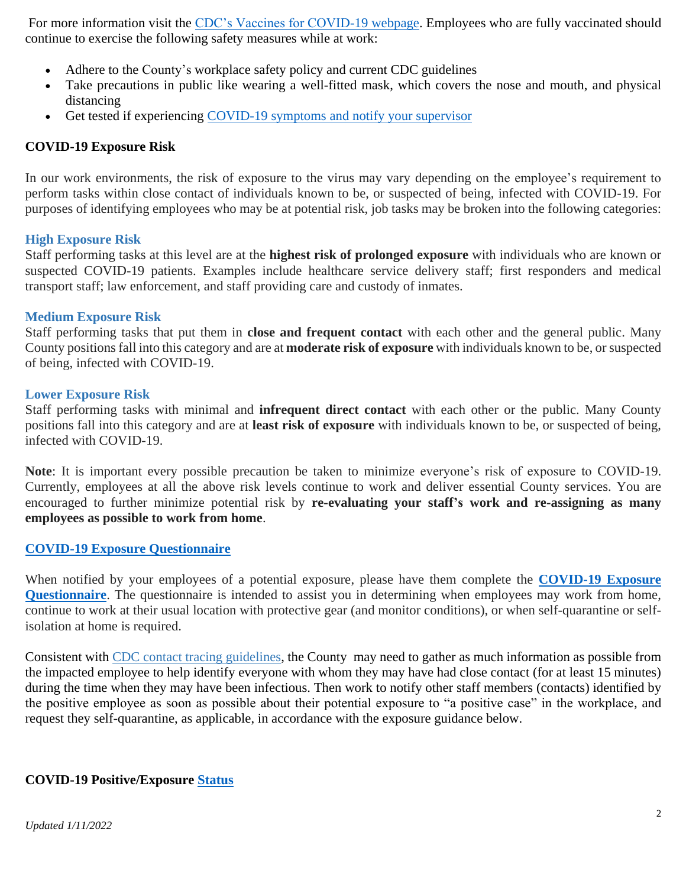For more information visit the [CDC's Vaccines for COVID-19 webpage.](https://www.cdc.gov/coronavirus/2019-ncov/vaccines/) Employees who are fully vaccinated should continue to exercise the following safety measures while at work:

- Adhere to the County's workplace safety policy and current CDC guidelines
- Take precautions in public like wearing a well-fitted mask, which covers the nose and mouth, and physical distancing
- Get tested if experiencing [COVID-19 symptoms](https://www.cdc.gov/coronavirus/2019-ncov/symptoms-testing/symptoms.html) and notify your supervisor

### **COVID-19 Exposure Risk**

In our work environments, the risk of exposure to the virus may vary depending on the employee's requirement to perform tasks within close contact of individuals known to be, or suspected of being, infected with COVID-19. For purposes of identifying employees who may be at potential risk, job tasks may be broken into the following categories:

#### **High Exposure Risk**

Staff performing tasks at this level are at the **highest risk of prolonged exposure** with individuals who are known or suspected COVID-19 patients. Examples include healthcare service delivery staff; first responders and medical transport staff; law enforcement, and staff providing care and custody of inmates.

#### **Medium Exposure Risk**

Staff performing tasks that put them in **close and frequent contact** with each other and the general public. Many County positions fall into this category and are at **moderate risk of exposure** with individuals known to be, or suspected of being, infected with COVID-19.

#### **Lower Exposure Risk**

Staff performing tasks with minimal and **infrequent direct contact** with each other or the public. Many County positions fall into this category and are at **least risk of exposure** with individuals known to be, or suspected of being, infected with COVID-19.

**Note**: It is important every possible precaution be taken to minimize everyone's risk of exposure to COVID-19. Currently, employees at all the above risk levels continue to work and deliver essential County services. You are encouraged to further minimize potential risk by **re-evaluating your staff's work and re-assigning as many employees as possible to work from home**.

#### **[COVID-19 Exposure Questionnaire](http://orangecountyfl.net/Portals/0/Library/Emergency-Safety/docs/coronavirus/COVID-19%20Exposure%20Questionnaire%20Final.pdf)**

When notified by your employees of a potential exposure, please have them complete the **[COVID-19 Exposure](http://orangecountyfl.net/Portals/0/Library/Emergency-Safety/docs/coronavirus/COVID-19%20Exposure%20Questionnaire%20Final.pdf)  [Questionnaire](http://orangecountyfl.net/Portals/0/Library/Emergency-Safety/docs/coronavirus/COVID-19%20Exposure%20Questionnaire%20Final.pdf)**. The questionnaire is intended to assist you in determining when employees may work from home, continue to work at their usual location with protective gear (and monitor conditions), or when self-quarantine or selfisolation at home is required.

Consistent with [CDC contact tracing guidelines,](https://www.cdc.gov/coronavirus/2019-ncov/php/contact-tracing/contact-tracing-plan/contact-tracing.html) the County may need to gather as much information as possible from the impacted employee to help identify everyone with whom they may have had close contact (for at least 15 minutes) during the time when they may have been infectious. Then work to notify other staff members (contacts) identified by the positive employee as soon as possible about their potential exposure to "a positive case" in the workplace, and request they self-quarantine, as applicable, in accordance with the exposure guidance below.

#### **COVID-19 Positive/Exposure Status**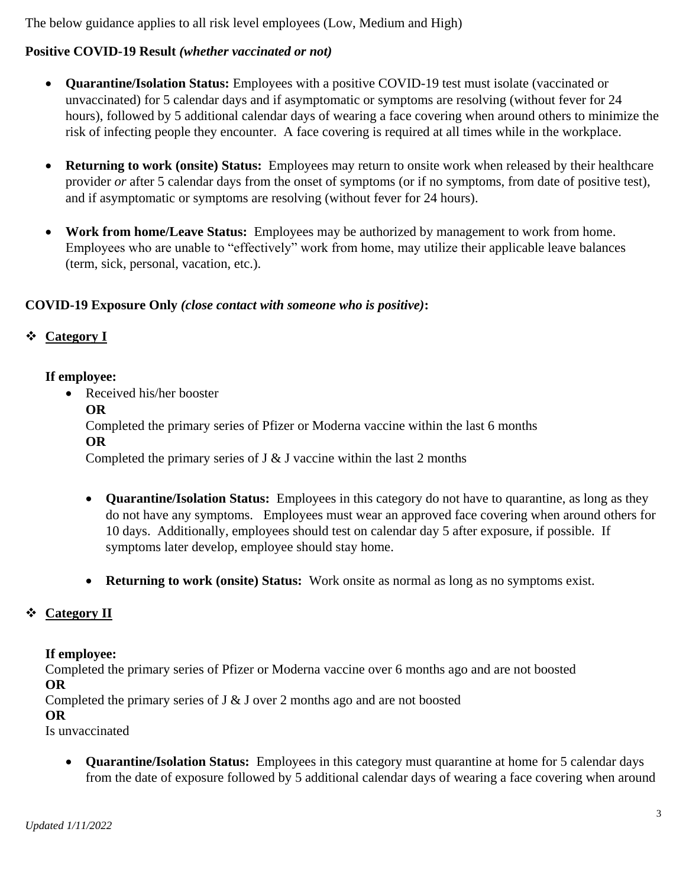The below guidance applies to all risk level employees (Low, Medium and High)

# **Positive COVID-19 Result** *(whether vaccinated or not)*

- **Quarantine/Isolation Status:** Employees with a positive COVID-19 test must isolate (vaccinated or unvaccinated) for 5 calendar days and if asymptomatic or symptoms are resolving (without fever for 24 hours), followed by 5 additional calendar days of wearing a face covering when around others to minimize the risk of infecting people they encounter. A face covering is required at all times while in the workplace.
- **Returning to work (onsite) Status:** Employees may return to onsite work when released by their healthcare provider *or* after 5 calendar days from the onset of symptoms (or if no symptoms, from date of positive test), and if asymptomatic or symptoms are resolving (without fever for 24 hours).
- **Work from home/Leave Status:** Employees may be authorized by management to work from home. Employees who are unable to "effectively" work from home, may utilize their applicable leave balances (term, sick, personal, vacation, etc.).

## **COVID-19 Exposure Only** *(close contact with someone who is positive)***:**

# ❖ **Category I**

## **If employee:**

• Received his/her booster

## **OR**

Completed the primary series of Pfizer or Moderna vaccine within the last 6 months **OR**

Completed the primary series of  $J \& J$  vaccine within the last 2 months

- **Quarantine/Isolation Status:** Employees in this category do not have to quarantine, as long as they do not have any symptoms. Employees must wear an approved face covering when around others for 10 days. Additionally, employees should test on calendar day 5 after exposure, if possible. If symptoms later develop, employee should stay home.
- **Returning to work (onsite) Status:** Work onsite as normal as long as no symptoms exist.

# ❖ **Category II**

## **If employee:**

Completed the primary series of Pfizer or Moderna vaccine over 6 months ago and are not boosted **OR**

Completed the primary series of  $J \& J$  over 2 months ago and are not boosted

## **OR**

Is unvaccinated

• **Quarantine/Isolation Status:** Employees in this category must quarantine at home for 5 calendar days from the date of exposure followed by 5 additional calendar days of wearing a face covering when around